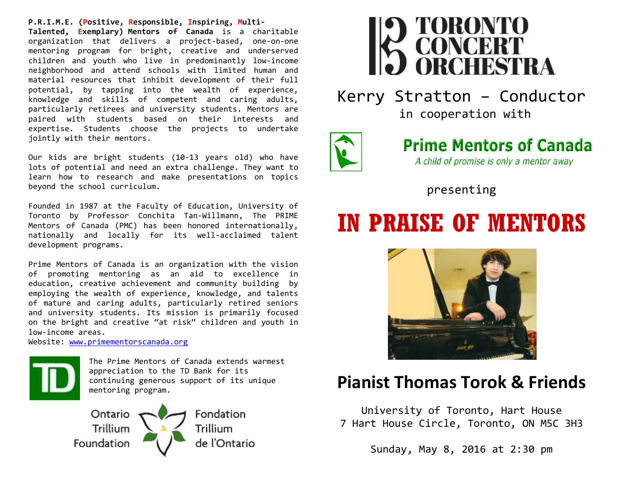**P.R.I.M.E. (Positive, Responsible, Inspiring, Multi-Talented, Exemplary) Mentors of Canada** is a charitable organization that delivers a project-based, one-on-one mentoring program for bright, creative and underserved children and youth who live in predominantly low-income neighborhood and attend schools with limited human and material resources that inhibit development of their full potential, by tapping into the wealth of experience, knowledge and skills of competent and caring adults, particularly retirees and university students. Mentors are paired with students based on their interests and expertise. Students choose the projects to undertake jointly with their mentors.

Our kids are bright students (10-13 years old) who have lots of potential and need an extra challenge. They want to learn how to research and make presentations on topics beyond the school curriculum.

Founded in 1987 at the Faculty of Education, University of Toronto by Professor Conchita Tan-Willmann, The PRIME Mentors of Canada (PMC) has been honored internationally, nationally and locally for its well-acclaimed talent development programs.

Prime Mentors of Canada is an organization with the vision of promoting mentoring as an aid to excellence in education, creative achievement and community building by employing the wealth of experience, knowledge, and talents of mature and caring adults, particularly retired seniors and university students. Its mission is primarily focused on the bright and creative "at risk" children and youth in low-income areas.

Website: <u>www.primementorscanada.org</u>



The Prime Mentors of Canada extends warmest appreciation to the TD Bank for its continuing generous support of its unique mentoring program.





Kerry Stratton – Conductor

in cooperation with



## **Prime Mentors of Canada** A child of promise is only a mentor away

presenting

# **IN PRAISE OF MENTORS**



# **Pianist Thomas Torok & Friends**

University of Toronto, Hart House 7 Hart House Circle, Toronto, ON M5C 3H3

Sunday, May 8, 2016 at 2:30 pm